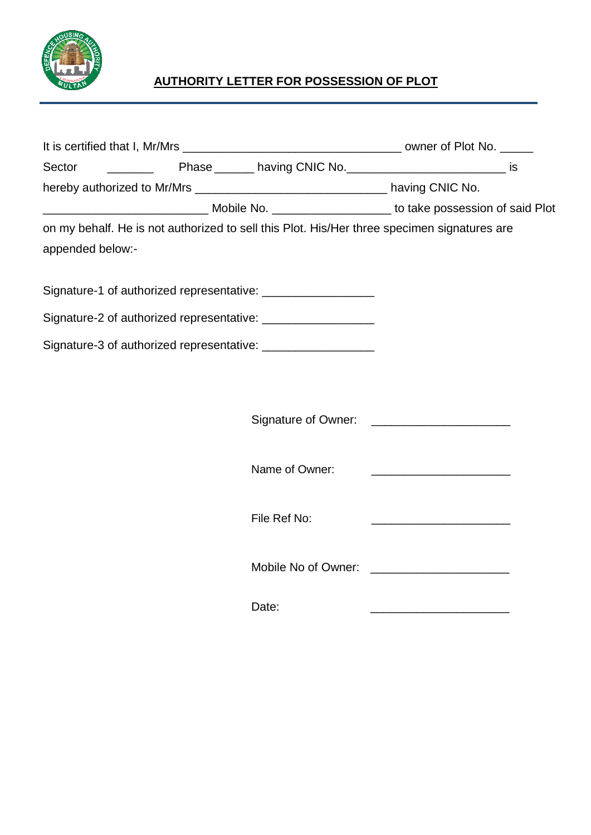

## **AUTHORITY LETTER FOR POSSESSION OF PLOT**

| Sector<br><u> 1999 - Jan Sterlingen i Sterlingen i Sterlingen i Sterlingen i Sterlingen i Sterlingen i Sterlingen i Sterlin</u> |  | Phase ________ having CNIC No. __________________________________ is                        |  |  |
|---------------------------------------------------------------------------------------------------------------------------------|--|---------------------------------------------------------------------------------------------|--|--|
| hereby authorized to Mr/Mrs __________________________________ having CNIC No.                                                  |  |                                                                                             |  |  |
|                                                                                                                                 |  |                                                                                             |  |  |
|                                                                                                                                 |  | on my behalf. He is not authorized to sell this Plot. His/Her three specimen signatures are |  |  |
| appended below:-                                                                                                                |  |                                                                                             |  |  |
|                                                                                                                                 |  | Signature-1 of authorized representative: ___________________                               |  |  |
|                                                                                                                                 |  | Signature-2 of authorized representative: _________________                                 |  |  |
|                                                                                                                                 |  | Signature-3 of authorized representative: ___________________                               |  |  |
|                                                                                                                                 |  |                                                                                             |  |  |
|                                                                                                                                 |  |                                                                                             |  |  |
|                                                                                                                                 |  | Name of Owner:                                                                              |  |  |
|                                                                                                                                 |  | File Ref No:                                                                                |  |  |
|                                                                                                                                 |  |                                                                                             |  |  |
|                                                                                                                                 |  | Date:                                                                                       |  |  |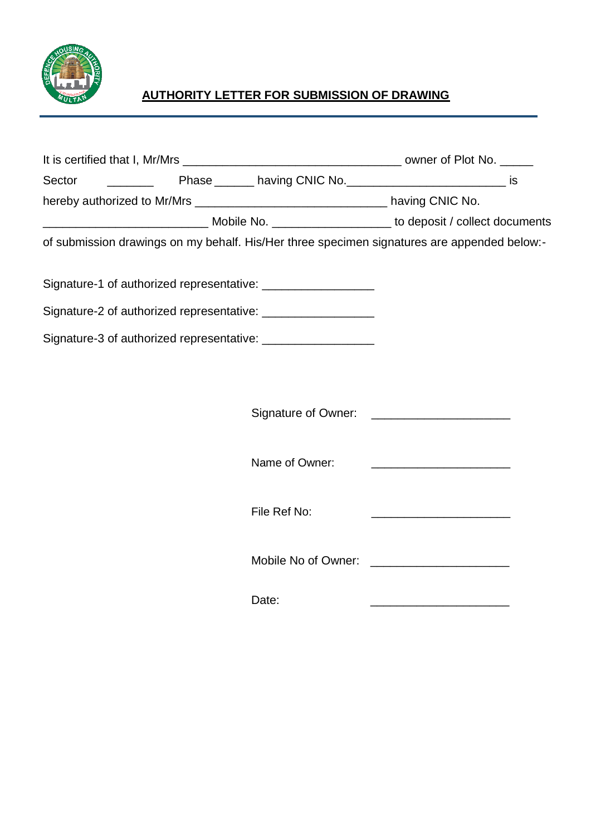

## **AUTHORITY LETTER FOR SUBMISSION OF DRAWING**

| Sector                                                                                      |                | Phase ________ having CNIC No. __________________________________ is |
|---------------------------------------------------------------------------------------------|----------------|----------------------------------------------------------------------|
|                                                                                             |                |                                                                      |
|                                                                                             |                |                                                                      |
| of submission drawings on my behalf. His/Her three specimen signatures are appended below:- |                |                                                                      |
| Signature-1 of authorized representative: ____________________                              |                |                                                                      |
| Signature-2 of authorized representative: ___________________                               |                |                                                                      |
| Signature-3 of authorized representative:                                                   |                |                                                                      |
|                                                                                             |                |                                                                      |
|                                                                                             |                |                                                                      |
|                                                                                             |                |                                                                      |
|                                                                                             |                |                                                                      |
|                                                                                             | Name of Owner: |                                                                      |
|                                                                                             |                |                                                                      |
|                                                                                             | File Ref No:   |                                                                      |
|                                                                                             |                |                                                                      |
|                                                                                             |                |                                                                      |
|                                                                                             |                |                                                                      |

Date: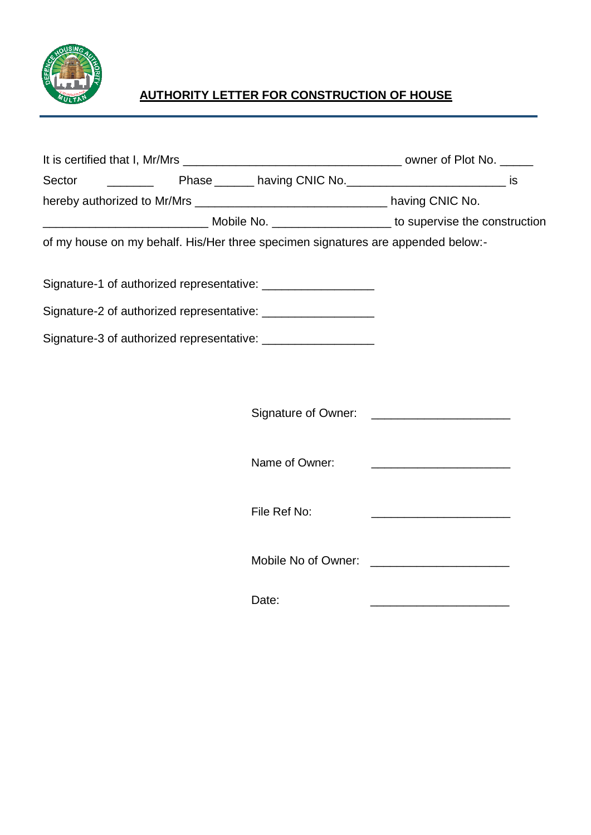

## **AUTHORITY LETTER FOR CONSTRUCTION OF HOUSE**

| hereby authorized to Mr/Mrs ___________________________________ having CNIC No. |  |                                                                                  |                                                                                                                      |  |
|---------------------------------------------------------------------------------|--|----------------------------------------------------------------------------------|----------------------------------------------------------------------------------------------------------------------|--|
|                                                                                 |  |                                                                                  |                                                                                                                      |  |
|                                                                                 |  | of my house on my behalf. His/Her three specimen signatures are appended below:- |                                                                                                                      |  |
|                                                                                 |  | Signature-1 of authorized representative: ___________________                    |                                                                                                                      |  |
|                                                                                 |  | Signature-2 of authorized representative: __________________                     |                                                                                                                      |  |
|                                                                                 |  | Signature-3 of authorized representative: __________________                     |                                                                                                                      |  |
|                                                                                 |  |                                                                                  |                                                                                                                      |  |
|                                                                                 |  |                                                                                  |                                                                                                                      |  |
|                                                                                 |  | Name of Owner:                                                                   |                                                                                                                      |  |
|                                                                                 |  | File Ref No:                                                                     | <u> 2000 - Johann John Stone, mars and de la provincia de la provincia de la provincia de la provincia de la pro</u> |  |
|                                                                                 |  |                                                                                  |                                                                                                                      |  |
|                                                                                 |  | Date:                                                                            |                                                                                                                      |  |